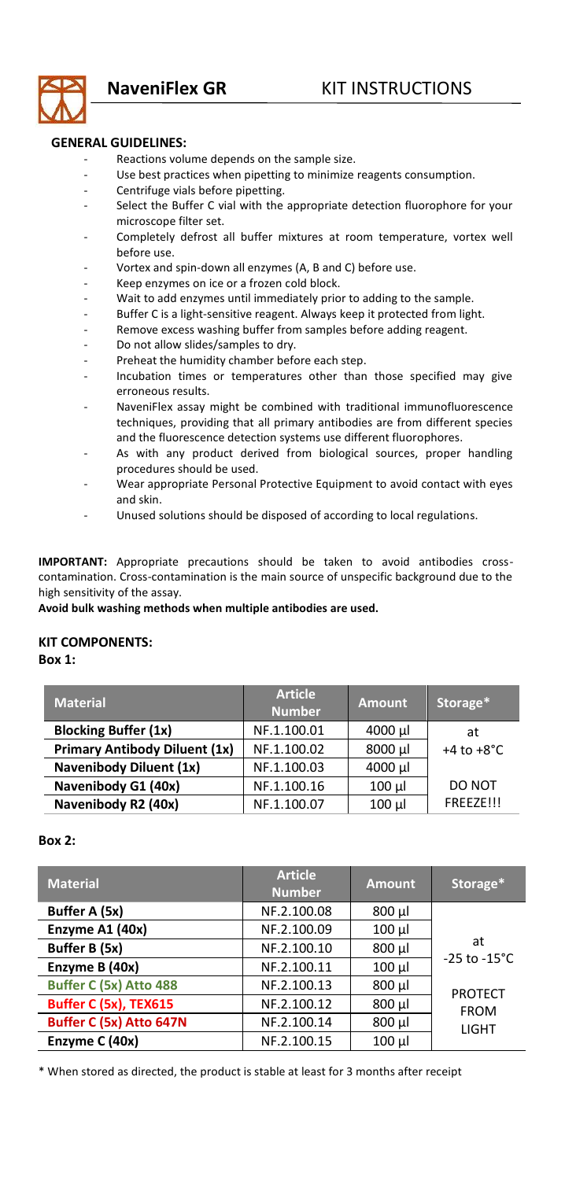

## **GENERAL GUIDELINES:**

- Reactions volume depends on the sample size.
- Use best practices when pipetting to minimize reagents consumption.
- Centrifuge vials before pipetting.
- Select the Buffer C vial with the appropriate detection fluorophore for your microscope filter set.
- Completely defrost all buffer mixtures at room temperature, vortex well before use.
- Vortex and spin-down all enzymes (A, B and C) before use.
- Keep enzymes on ice or a frozen cold block.<br>Wait to add enzymes until immediately prior
- Wait to add enzymes until immediately prior to adding to the sample.
- Buffer C is a light-sensitive reagent. Always keep it protected from light.
- Remove excess washing buffer from samples before adding reagent.
- Do not allow slides/samples to dry.
- Preheat the humidity chamber before each step.
- Incubation times or temperatures other than those specified may give erroneous results.
- NaveniFlex assay might be combined with traditional immunofluorescence techniques, providing that all primary antibodies are from different species and the fluorescence detection systems use different fluorophores.
- As with any product derived from biological sources, proper handling procedures should be used.
- Wear appropriate Personal Protective Equipment to avoid contact with eyes and skin.
- Unused solutions should be disposed of according to local regulations.

**IMPORTANT:** Appropriate precautions should be taken to avoid antibodies crosscontamination. Cross-contamination is the main source of unspecific background due to the high sensitivity of the assay.

## **Avoid bulk washing methods when multiple antibodies are used.**

## **KIT COMPONENTS:**

**Box 1:** 

| <b>Material</b>                      | <b>Article</b><br><b>Number</b> | <b>Amount</b> | Storage*               |
|--------------------------------------|---------------------------------|---------------|------------------------|
| <b>Blocking Buffer (1x)</b>          | NF.1.100.01                     | 4000 µl       | at                     |
| <b>Primary Antibody Diluent (1x)</b> | NF.1.100.02                     | 8000 µl       | $+4$ to $+8^{\circ}$ C |
| Navenibody Diluent (1x)              | NF.1.100.03                     | 4000 µl       |                        |
| Navenibody G1 (40x)                  | NF.1.100.16                     | 100 µl        | DO NOT                 |
| Navenibody R2 (40x)                  | NF.1.100.07                     | 100 µl        | FREEZE!!!              |

## **Box 2:**

| <b>Material</b>              | <b>Article</b><br><b>Number</b> | <b>Amount</b> | Storage*                       |
|------------------------------|---------------------------------|---------------|--------------------------------|
| Buffer A (5x)                | NF.2.100.08                     | $800 \mu$     |                                |
| Enzyme A1 (40x)              | NF.2.100.09                     | 100 µl        | at<br>$-25$ to $-15^{\circ}$ C |
| Buffer B (5x)                | NF.2.100.10                     | 800 µl        |                                |
| Enzyme B (40x)               | NF.2.100.11                     | 100 µl        |                                |
| Buffer C (5x) Atto 488       | NF.2.100.13                     | 800 µl        | <b>PROTECT</b>                 |
| <b>Buffer C (5x), TEX615</b> | NF.2.100.12                     | 800 µl        | <b>FROM</b><br><b>LIGHT</b>    |
| Buffer C (5x) Atto 647N      | NF.2.100.14                     | 800 µl        |                                |
| Enzyme C (40x)               | NF.2.100.15                     | 100 µl        |                                |

\* When stored as directed, the product is stable at least for 3 months after receipt